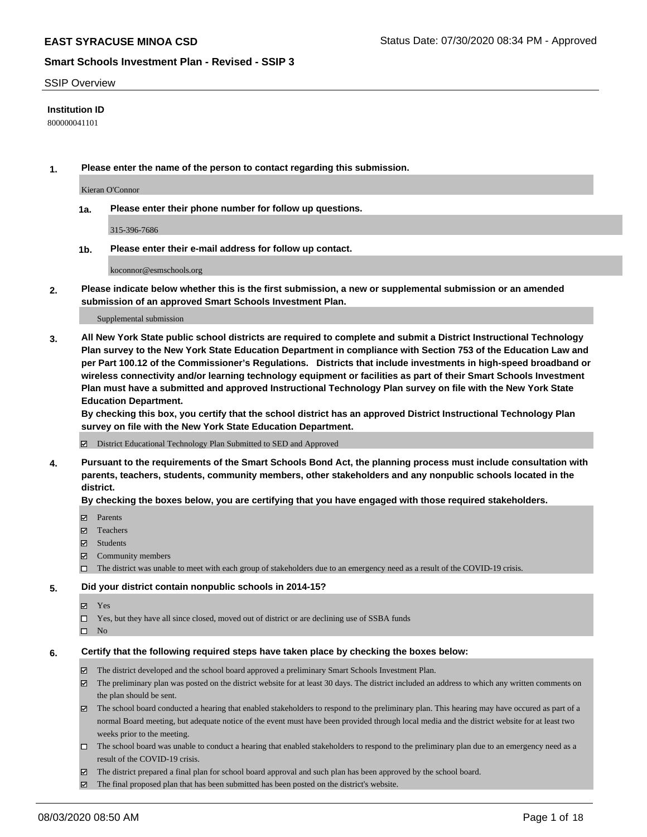#### SSIP Overview

# **Institution ID**

800000041101

**1. Please enter the name of the person to contact regarding this submission.**

Kieran O'Connor

**1a. Please enter their phone number for follow up questions.**

315-396-7686

**1b. Please enter their e-mail address for follow up contact.**

koconnor@esmschools.org

**2. Please indicate below whether this is the first submission, a new or supplemental submission or an amended submission of an approved Smart Schools Investment Plan.**

#### Supplemental submission

**3. All New York State public school districts are required to complete and submit a District Instructional Technology Plan survey to the New York State Education Department in compliance with Section 753 of the Education Law and per Part 100.12 of the Commissioner's Regulations. Districts that include investments in high-speed broadband or wireless connectivity and/or learning technology equipment or facilities as part of their Smart Schools Investment Plan must have a submitted and approved Instructional Technology Plan survey on file with the New York State Education Department.** 

**By checking this box, you certify that the school district has an approved District Instructional Technology Plan survey on file with the New York State Education Department.**

District Educational Technology Plan Submitted to SED and Approved

**4. Pursuant to the requirements of the Smart Schools Bond Act, the planning process must include consultation with parents, teachers, students, community members, other stakeholders and any nonpublic schools located in the district.** 

#### **By checking the boxes below, you are certifying that you have engaged with those required stakeholders.**

- **□** Parents
- Teachers
- Students
- $\boxtimes$  Community members
- The district was unable to meet with each group of stakeholders due to an emergency need as a result of the COVID-19 crisis.

#### **5. Did your district contain nonpublic schools in 2014-15?**

- **冈** Yes
- Yes, but they have all since closed, moved out of district or are declining use of SSBA funds
- $\square$  No

#### **6. Certify that the following required steps have taken place by checking the boxes below:**

- The district developed and the school board approved a preliminary Smart Schools Investment Plan.
- $\boxtimes$  The preliminary plan was posted on the district website for at least 30 days. The district included an address to which any written comments on the plan should be sent.
- The school board conducted a hearing that enabled stakeholders to respond to the preliminary plan. This hearing may have occured as part of a normal Board meeting, but adequate notice of the event must have been provided through local media and the district website for at least two weeks prior to the meeting.
- The school board was unable to conduct a hearing that enabled stakeholders to respond to the preliminary plan due to an emergency need as a result of the COVID-19 crisis.
- The district prepared a final plan for school board approval and such plan has been approved by the school board.
- $\boxtimes$  The final proposed plan that has been submitted has been posted on the district's website.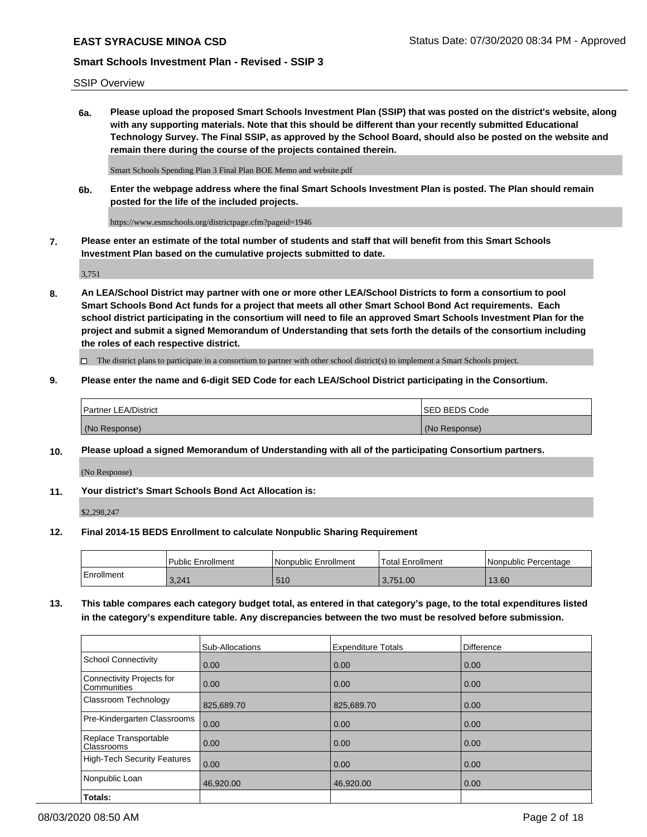SSIP Overview

**6a. Please upload the proposed Smart Schools Investment Plan (SSIP) that was posted on the district's website, along with any supporting materials. Note that this should be different than your recently submitted Educational Technology Survey. The Final SSIP, as approved by the School Board, should also be posted on the website and remain there during the course of the projects contained therein.**

Smart Schools Spending Plan 3 Final Plan BOE Memo and website.pdf

**6b. Enter the webpage address where the final Smart Schools Investment Plan is posted. The Plan should remain posted for the life of the included projects.**

https://www.esmschools.org/districtpage.cfm?pageid=1946

**7. Please enter an estimate of the total number of students and staff that will benefit from this Smart Schools Investment Plan based on the cumulative projects submitted to date.**

3,751

**8. An LEA/School District may partner with one or more other LEA/School Districts to form a consortium to pool Smart Schools Bond Act funds for a project that meets all other Smart School Bond Act requirements. Each school district participating in the consortium will need to file an approved Smart Schools Investment Plan for the project and submit a signed Memorandum of Understanding that sets forth the details of the consortium including the roles of each respective district.**

 $\Box$  The district plans to participate in a consortium to partner with other school district(s) to implement a Smart Schools project.

# **9. Please enter the name and 6-digit SED Code for each LEA/School District participating in the Consortium.**

| Partner LEA/District | <b>ISED BEDS Code</b> |
|----------------------|-----------------------|
| (No Response)        | (No Response)         |

# **10. Please upload a signed Memorandum of Understanding with all of the participating Consortium partners.**

(No Response)

# **11. Your district's Smart Schools Bond Act Allocation is:**

\$2,298,247

#### **12. Final 2014-15 BEDS Enrollment to calculate Nonpublic Sharing Requirement**

|            | l Public Enrollment | Nonpublic Enrollment | Total Enrollment | I Nonpublic Percentage |
|------------|---------------------|----------------------|------------------|------------------------|
| Enrollment | 3,241               | 510                  | 3,751.00         | 13.60                  |

**13. This table compares each category budget total, as entered in that category's page, to the total expenditures listed in the category's expenditure table. Any discrepancies between the two must be resolved before submission.**

|                                          | Sub-Allocations | <b>Expenditure Totals</b> | <b>Difference</b> |
|------------------------------------------|-----------------|---------------------------|-------------------|
| <b>School Connectivity</b>               | 0.00            | 0.00                      | 0.00              |
| Connectivity Projects for<br>Communities | 0.00            | 0.00                      | 0.00              |
| Classroom Technology                     | 825,689.70      | 825,689.70                | 0.00              |
| Pre-Kindergarten Classrooms              | 0.00            | 0.00                      | 0.00              |
| Replace Transportable<br>Classrooms      | 0.00            | 0.00                      | 0.00              |
| <b>High-Tech Security Features</b>       | 0.00            | 0.00                      | 0.00              |
| Nonpublic Loan                           | 46,920.00       | 46,920.00                 | 0.00              |
| Totals:                                  |                 |                           |                   |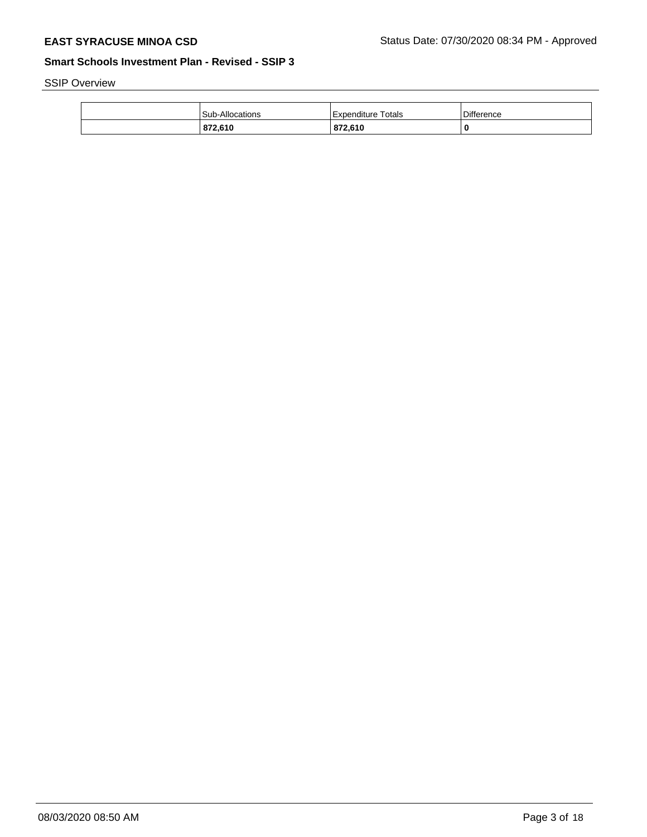SSIP Overview

| 872.610                | 872,610              | C                 |
|------------------------|----------------------|-------------------|
| <b>Sub-Allocations</b> | l Expenditure Totals | <b>Difference</b> |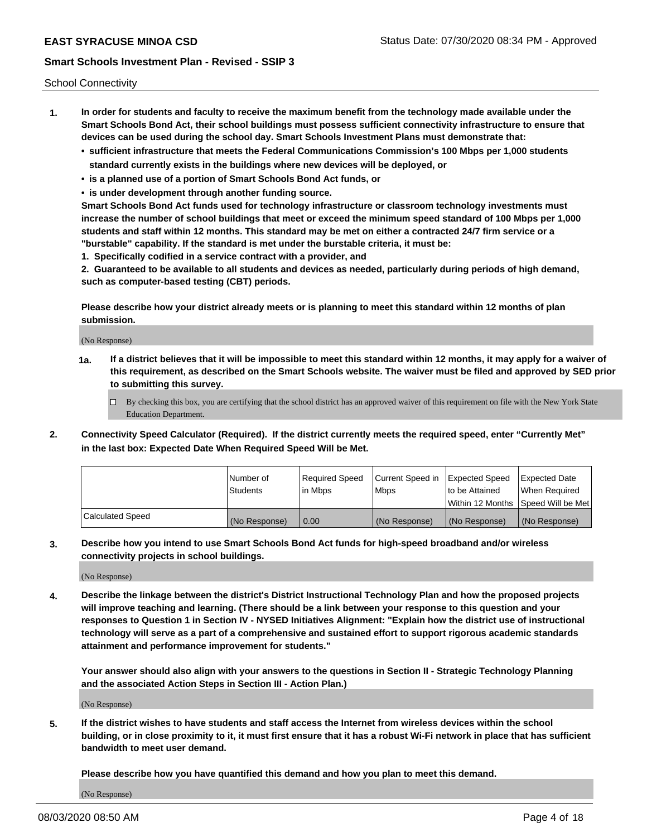School Connectivity

- **1. In order for students and faculty to receive the maximum benefit from the technology made available under the Smart Schools Bond Act, their school buildings must possess sufficient connectivity infrastructure to ensure that devices can be used during the school day. Smart Schools Investment Plans must demonstrate that:**
	- **• sufficient infrastructure that meets the Federal Communications Commission's 100 Mbps per 1,000 students standard currently exists in the buildings where new devices will be deployed, or**
	- **• is a planned use of a portion of Smart Schools Bond Act funds, or**
	- **• is under development through another funding source.**

**Smart Schools Bond Act funds used for technology infrastructure or classroom technology investments must increase the number of school buildings that meet or exceed the minimum speed standard of 100 Mbps per 1,000 students and staff within 12 months. This standard may be met on either a contracted 24/7 firm service or a "burstable" capability. If the standard is met under the burstable criteria, it must be:**

**1. Specifically codified in a service contract with a provider, and**

**2. Guaranteed to be available to all students and devices as needed, particularly during periods of high demand, such as computer-based testing (CBT) periods.**

**Please describe how your district already meets or is planning to meet this standard within 12 months of plan submission.**

(No Response)

**1a. If a district believes that it will be impossible to meet this standard within 12 months, it may apply for a waiver of this requirement, as described on the Smart Schools website. The waiver must be filed and approved by SED prior to submitting this survey.**

 $\Box$  By checking this box, you are certifying that the school district has an approved waiver of this requirement on file with the New York State Education Department.

**2. Connectivity Speed Calculator (Required). If the district currently meets the required speed, enter "Currently Met" in the last box: Expected Date When Required Speed Will be Met.**

|                  | l Number of     | Required Speed | Current Speed in | <b>Expected Speed</b> | <b>Expected Date</b>                |
|------------------|-----------------|----------------|------------------|-----------------------|-------------------------------------|
|                  | <b>Students</b> | l in Mbps      | <b>Mbps</b>      | to be Attained        | When Required                       |
|                  |                 |                |                  |                       | Within 12 Months ISpeed Will be Met |
| Calculated Speed | (No Response)   | 0.00           | (No Response)    | (No Response)         | (No Response)                       |

**3. Describe how you intend to use Smart Schools Bond Act funds for high-speed broadband and/or wireless connectivity projects in school buildings.**

(No Response)

**4. Describe the linkage between the district's District Instructional Technology Plan and how the proposed projects will improve teaching and learning. (There should be a link between your response to this question and your responses to Question 1 in Section IV - NYSED Initiatives Alignment: "Explain how the district use of instructional technology will serve as a part of a comprehensive and sustained effort to support rigorous academic standards attainment and performance improvement for students."** 

**Your answer should also align with your answers to the questions in Section II - Strategic Technology Planning and the associated Action Steps in Section III - Action Plan.)**

(No Response)

**5. If the district wishes to have students and staff access the Internet from wireless devices within the school building, or in close proximity to it, it must first ensure that it has a robust Wi-Fi network in place that has sufficient bandwidth to meet user demand.**

**Please describe how you have quantified this demand and how you plan to meet this demand.**

(No Response)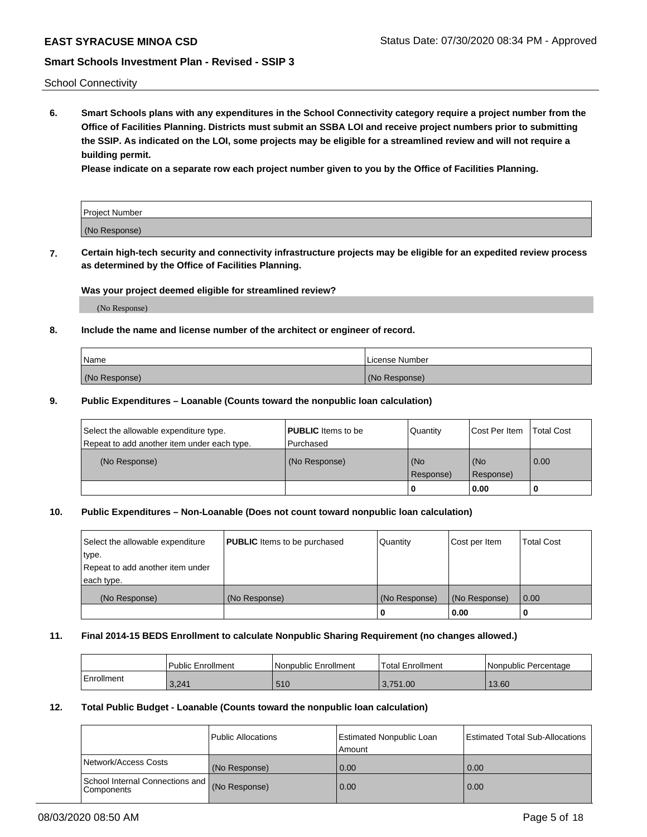School Connectivity

**6. Smart Schools plans with any expenditures in the School Connectivity category require a project number from the Office of Facilities Planning. Districts must submit an SSBA LOI and receive project numbers prior to submitting the SSIP. As indicated on the LOI, some projects may be eligible for a streamlined review and will not require a building permit.**

**Please indicate on a separate row each project number given to you by the Office of Facilities Planning.**

| Project Number |  |
|----------------|--|
| (No Response)  |  |

**7. Certain high-tech security and connectivity infrastructure projects may be eligible for an expedited review process as determined by the Office of Facilities Planning.**

# **Was your project deemed eligible for streamlined review?**

(No Response)

# **8. Include the name and license number of the architect or engineer of record.**

| Name          | License Number |
|---------------|----------------|
| (No Response) | (No Response)  |

### **9. Public Expenditures – Loanable (Counts toward the nonpublic loan calculation)**

| Select the allowable expenditure type.<br>Repeat to add another item under each type. | <b>PUBLIC</b> Items to be<br>l Purchased | Quantity           | Cost Per Item    | <b>Total Cost</b> |
|---------------------------------------------------------------------------------------|------------------------------------------|--------------------|------------------|-------------------|
| (No Response)                                                                         | (No Response)                            | l (No<br>Response) | (No<br>Response) | $\overline{0.00}$ |
|                                                                                       |                                          | O                  | 0.00             |                   |

# **10. Public Expenditures – Non-Loanable (Does not count toward nonpublic loan calculation)**

| Select the allowable expenditure<br>type.<br>Repeat to add another item under<br>each type. | <b>PUBLIC</b> Items to be purchased | Quantity      | Cost per Item | <b>Total Cost</b> |
|---------------------------------------------------------------------------------------------|-------------------------------------|---------------|---------------|-------------------|
| (No Response)                                                                               | (No Response)                       | (No Response) | (No Response) | 0.00              |
|                                                                                             |                                     |               | 0.00          |                   |

#### **11. Final 2014-15 BEDS Enrollment to calculate Nonpublic Sharing Requirement (no changes allowed.)**

|            | Public Enrollment | Nonpublic Enrollment | 'Total Enrollment | l Nonpublic Percentage |
|------------|-------------------|----------------------|-------------------|------------------------|
| Enrollment | 3,241             | 510                  | 3.751.00          | 13.60                  |

## **12. Total Public Budget - Loanable (Counts toward the nonpublic loan calculation)**

|                                                      | Public Allocations | <b>Estimated Nonpublic Loan</b><br>Amount | Estimated Total Sub-Allocations |
|------------------------------------------------------|--------------------|-------------------------------------------|---------------------------------|
| Network/Access Costs                                 | (No Response)      | 0.00                                      | 0.00                            |
| School Internal Connections and<br><b>Components</b> | (No Response)      | 0.00                                      | 0.00                            |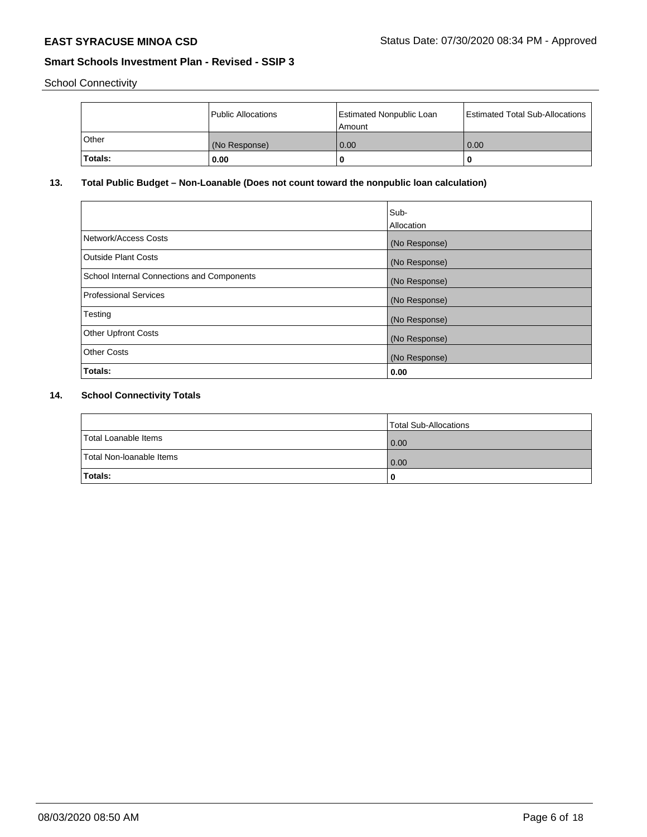School Connectivity

|              | Public Allocations | <b>Estimated Nonpublic Loan</b><br>Amount | <b>Estimated Total Sub-Allocations</b> |
|--------------|--------------------|-------------------------------------------|----------------------------------------|
| <b>Other</b> | (No Response)      | 0.00                                      | 0.00                                   |
| Totals:      | 0.00               |                                           | 0                                      |

# **13. Total Public Budget – Non-Loanable (Does not count toward the nonpublic loan calculation)**

|                                                   | Sub-<br>Allocation |
|---------------------------------------------------|--------------------|
| Network/Access Costs                              | (No Response)      |
| <b>Outside Plant Costs</b>                        | (No Response)      |
| <b>School Internal Connections and Components</b> | (No Response)      |
| Professional Services                             | (No Response)      |
| Testing                                           | (No Response)      |
| <b>Other Upfront Costs</b>                        | (No Response)      |
| <b>Other Costs</b>                                | (No Response)      |
| Totals:                                           | 0.00               |

# **14. School Connectivity Totals**

|                          | Total Sub-Allocations |
|--------------------------|-----------------------|
| Total Loanable Items     | $\overline{0.00}$     |
| Total Non-Ioanable Items | $\overline{0.00}$     |
| Totals:                  |                       |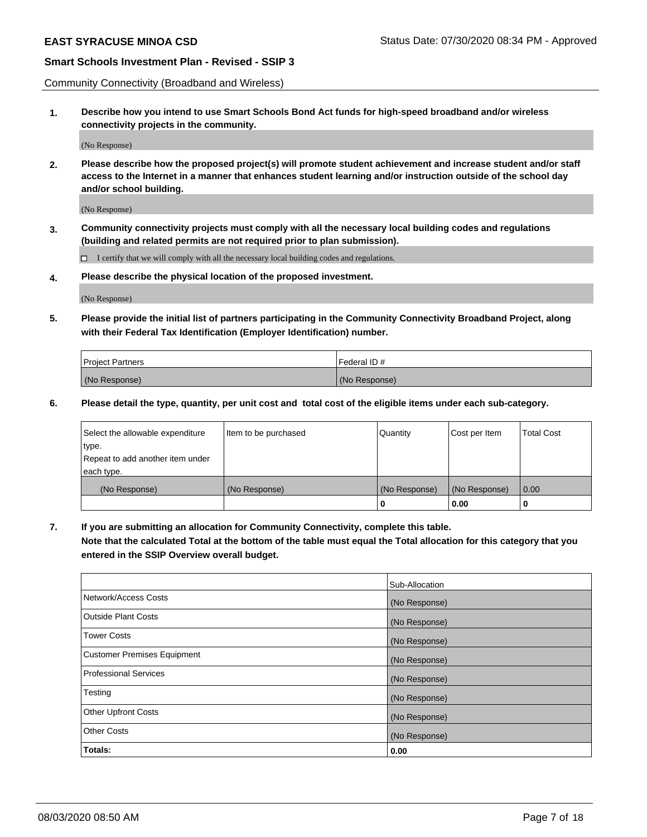Community Connectivity (Broadband and Wireless)

**1. Describe how you intend to use Smart Schools Bond Act funds for high-speed broadband and/or wireless connectivity projects in the community.**

(No Response)

**2. Please describe how the proposed project(s) will promote student achievement and increase student and/or staff access to the Internet in a manner that enhances student learning and/or instruction outside of the school day and/or school building.**

(No Response)

**3. Community connectivity projects must comply with all the necessary local building codes and regulations (building and related permits are not required prior to plan submission).**

 $\Box$  I certify that we will comply with all the necessary local building codes and regulations.

**4. Please describe the physical location of the proposed investment.**

(No Response)

**5. Please provide the initial list of partners participating in the Community Connectivity Broadband Project, along with their Federal Tax Identification (Employer Identification) number.**

| <b>Project Partners</b> | l Federal ID # |
|-------------------------|----------------|
| (No Response)           | (No Response)  |

**6. Please detail the type, quantity, per unit cost and total cost of the eligible items under each sub-category.**

| Select the allowable expenditure | Item to be purchased | Quantity      | Cost per Item | <b>Total Cost</b> |
|----------------------------------|----------------------|---------------|---------------|-------------------|
| type.                            |                      |               |               |                   |
| Repeat to add another item under |                      |               |               |                   |
| each type.                       |                      |               |               |                   |
| (No Response)                    | (No Response)        | (No Response) | (No Response) | 0.00              |
|                                  |                      | o             | 0.00          |                   |

**7. If you are submitting an allocation for Community Connectivity, complete this table.**

**Note that the calculated Total at the bottom of the table must equal the Total allocation for this category that you entered in the SSIP Overview overall budget.**

|                                    | Sub-Allocation |
|------------------------------------|----------------|
| Network/Access Costs               | (No Response)  |
| Outside Plant Costs                | (No Response)  |
| <b>Tower Costs</b>                 | (No Response)  |
| <b>Customer Premises Equipment</b> | (No Response)  |
| <b>Professional Services</b>       | (No Response)  |
| Testing                            | (No Response)  |
| <b>Other Upfront Costs</b>         | (No Response)  |
| <b>Other Costs</b>                 | (No Response)  |
| Totals:                            | 0.00           |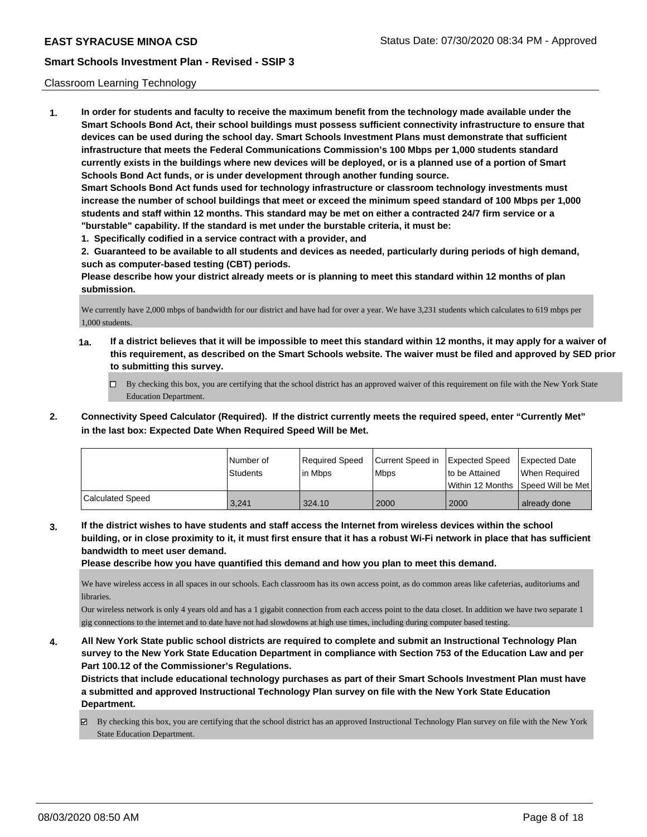### Classroom Learning Technology

**1. In order for students and faculty to receive the maximum benefit from the technology made available under the Smart Schools Bond Act, their school buildings must possess sufficient connectivity infrastructure to ensure that devices can be used during the school day. Smart Schools Investment Plans must demonstrate that sufficient infrastructure that meets the Federal Communications Commission's 100 Mbps per 1,000 students standard currently exists in the buildings where new devices will be deployed, or is a planned use of a portion of Smart Schools Bond Act funds, or is under development through another funding source. Smart Schools Bond Act funds used for technology infrastructure or classroom technology investments must increase the number of school buildings that meet or exceed the minimum speed standard of 100 Mbps per 1,000 students and staff within 12 months. This standard may be met on either a contracted 24/7 firm service or a "burstable" capability. If the standard is met under the burstable criteria, it must be:**

**1. Specifically codified in a service contract with a provider, and**

**2. Guaranteed to be available to all students and devices as needed, particularly during periods of high demand, such as computer-based testing (CBT) periods.**

**Please describe how your district already meets or is planning to meet this standard within 12 months of plan submission.**

We currently have 2,000 mbps of bandwidth for our district and have had for over a year. We have 3,231 students which calculates to 619 mbps per 1,000 students.

- **1a. If a district believes that it will be impossible to meet this standard within 12 months, it may apply for a waiver of this requirement, as described on the Smart Schools website. The waiver must be filed and approved by SED prior to submitting this survey.**
	- By checking this box, you are certifying that the school district has an approved waiver of this requirement on file with the New York State Education Department.
- **2. Connectivity Speed Calculator (Required). If the district currently meets the required speed, enter "Currently Met" in the last box: Expected Date When Required Speed Will be Met.**

|                  | INumber of<br><b>Students</b> | Required Speed<br>l in Mbps | Current Speed in Expected Speed<br>l Mbps | Ito be Attained | Expected Date<br>When Required<br>Within 12 Months Speed Will be Met |
|------------------|-------------------------------|-----------------------------|-------------------------------------------|-----------------|----------------------------------------------------------------------|
| Calculated Speed | 3.241                         | 324.10                      | 2000                                      | 2000            | already done                                                         |

**3. If the district wishes to have students and staff access the Internet from wireless devices within the school building, or in close proximity to it, it must first ensure that it has a robust Wi-Fi network in place that has sufficient bandwidth to meet user demand.**

**Please describe how you have quantified this demand and how you plan to meet this demand.**

We have wireless access in all spaces in our schools. Each classroom has its own access point, as do common areas like cafeterias, auditoriums and libraries.

Our wireless network is only 4 years old and has a 1 gigabit connection from each access point to the data closet. In addition we have two separate 1 gig connections to the internet and to date have not had slowdowns at high use times, including during computer based testing.

**4. All New York State public school districts are required to complete and submit an Instructional Technology Plan survey to the New York State Education Department in compliance with Section 753 of the Education Law and per Part 100.12 of the Commissioner's Regulations.**

**Districts that include educational technology purchases as part of their Smart Schools Investment Plan must have a submitted and approved Instructional Technology Plan survey on file with the New York State Education Department.**

By checking this box, you are certifying that the school district has an approved Instructional Technology Plan survey on file with the New York State Education Department.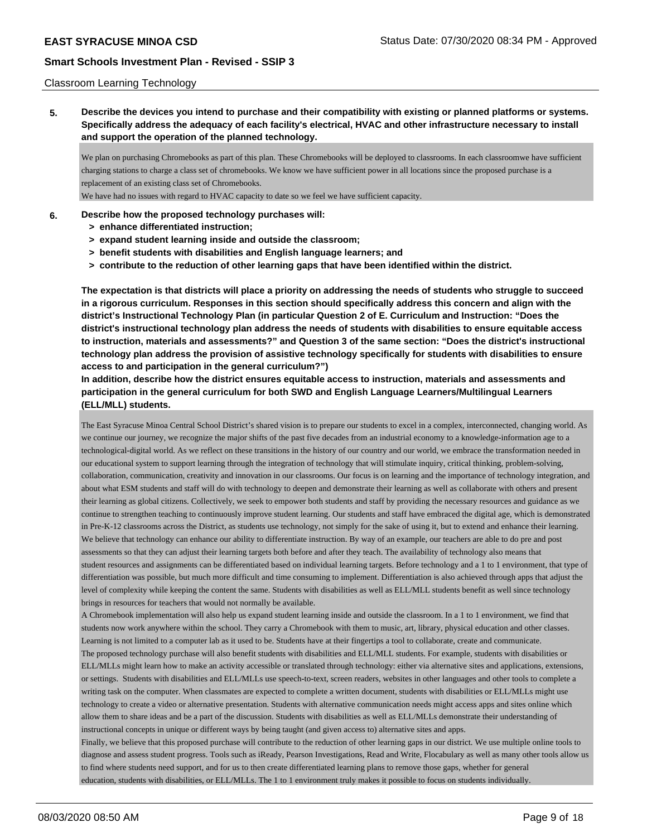### Classroom Learning Technology

**5. Describe the devices you intend to purchase and their compatibility with existing or planned platforms or systems. Specifically address the adequacy of each facility's electrical, HVAC and other infrastructure necessary to install and support the operation of the planned technology.**

We plan on purchasing Chromebooks as part of this plan. These Chromebooks will be deployed to classrooms. In each classroomwe have sufficient charging stations to charge a class set of chromebooks. We know we have sufficient power in all locations since the proposed purchase is a replacement of an existing class set of Chromebooks.

We have had no issues with regard to HVAC capacity to date so we feel we have sufficient capacity.

### **6. Describe how the proposed technology purchases will:**

- **> enhance differentiated instruction;**
- **> expand student learning inside and outside the classroom;**
- **> benefit students with disabilities and English language learners; and**
- **> contribute to the reduction of other learning gaps that have been identified within the district.**

**The expectation is that districts will place a priority on addressing the needs of students who struggle to succeed in a rigorous curriculum. Responses in this section should specifically address this concern and align with the district's Instructional Technology Plan (in particular Question 2 of E. Curriculum and Instruction: "Does the district's instructional technology plan address the needs of students with disabilities to ensure equitable access to instruction, materials and assessments?" and Question 3 of the same section: "Does the district's instructional technology plan address the provision of assistive technology specifically for students with disabilities to ensure access to and participation in the general curriculum?")**

**In addition, describe how the district ensures equitable access to instruction, materials and assessments and participation in the general curriculum for both SWD and English Language Learners/Multilingual Learners (ELL/MLL) students.**

The East Syracuse Minoa Central School District's shared vision is to prepare our students to excel in a complex, interconnected, changing world. As we continue our journey, we recognize the major shifts of the past five decades from an industrial economy to a knowledge-information age to a technological-digital world. As we reflect on these transitions in the history of our country and our world, we embrace the transformation needed in our educational system to support learning through the integration of technology that will stimulate inquiry, critical thinking, problem-solving, collaboration, communication, creativity and innovation in our classrooms. Our focus is on learning and the importance of technology integration, and about what ESM students and staff will do with technology to deepen and demonstrate their learning as well as collaborate with others and present their learning as global citizens. Collectively, we seek to empower both students and staff by providing the necessary resources and guidance as we continue to strengthen teaching to continuously improve student learning. Our students and staff have embraced the digital age, which is demonstrated in Pre-K-12 classrooms across the District, as students use technology, not simply for the sake of using it, but to extend and enhance their learning. We believe that technology can enhance our ability to differentiate instruction. By way of an example, our teachers are able to do pre and post assessments so that they can adjust their learning targets both before and after they teach. The availability of technology also means that student resources and assignments can be differentiated based on individual learning targets. Before technology and a 1 to 1 environment, that type of differentiation was possible, but much more difficult and time consuming to implement. Differentiation is also achieved through apps that adjust the level of complexity while keeping the content the same. Students with disabilities as well as ELL/MLL students benefit as well since technology brings in resources for teachers that would not normally be available.

A Chromebook implementation will also help us expand student learning inside and outside the classroom. In a 1 to 1 environment, we find that students now work anywhere within the school. They carry a Chromebook with them to music, art, library, physical education and other classes. Learning is not limited to a computer lab as it used to be. Students have at their fingertips a tool to collaborate, create and communicate. The proposed technology purchase will also benefit students with disabilities and ELL/MLL students. For example, students with disabilities or ELL/MLLs might learn how to make an activity accessible or translated through technology: either via alternative sites and applications, extensions, or settings. Students with disabilities and ELL/MLLs use speech-to-text, screen readers, websites in other languages and other tools to complete a writing task on the computer. When classmates are expected to complete a written document, students with disabilities or ELL/MLLs might use technology to create a video or alternative presentation. Students with alternative communication needs might access apps and sites online which allow them to share ideas and be a part of the discussion. Students with disabilities as well as ELL/MLLs demonstrate their understanding of instructional concepts in unique or different ways by being taught (and given access to) alternative sites and apps.

Finally, we believe that this proposed purchase will contribute to the reduction of other learning gaps in our district. We use multiple online tools to diagnose and assess student progress. Tools such as iReady, Pearson Investigations, Read and Write, Flocabulary as well as many other tools allow us to find where students need support, and for us to then create differentiated learning plans to remove those gaps, whether for general education, students with disabilities, or ELL/MLLs. The 1 to 1 environment truly makes it possible to focus on students individually.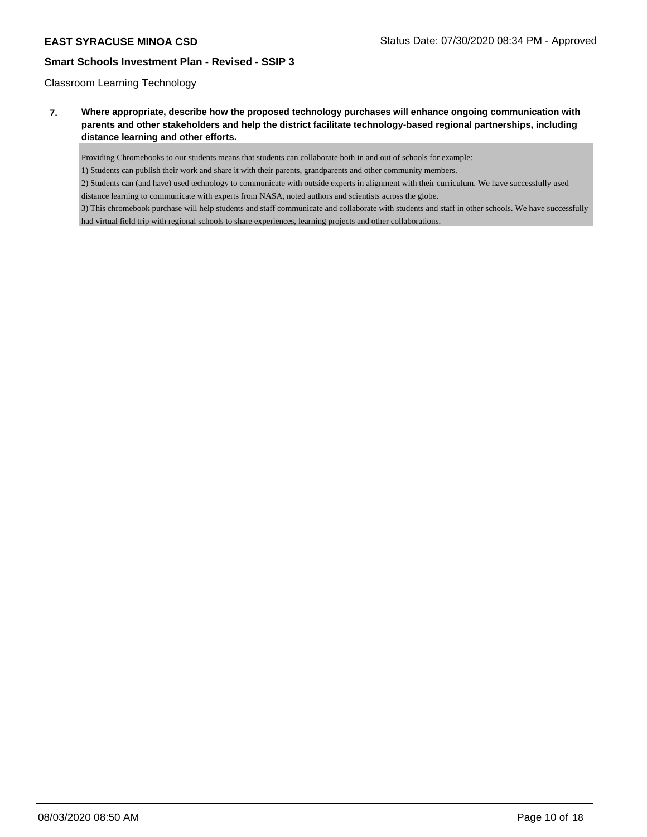### Classroom Learning Technology

# **7. Where appropriate, describe how the proposed technology purchases will enhance ongoing communication with parents and other stakeholders and help the district facilitate technology-based regional partnerships, including distance learning and other efforts.**

Providing Chromebooks to our students means that students can collaborate both in and out of schools for example:

1) Students can publish their work and share it with their parents, grandparents and other community members.

2) Students can (and have) used technology to communicate with outside experts in alignment with their curriculum. We have successfully used distance learning to communicate with experts from NASA, noted authors and scientists across the globe.

3) This chromebook purchase will help students and staff communicate and collaborate with students and staff in other schools. We have successfully had virtual field trip with regional schools to share experiences, learning projects and other collaborations.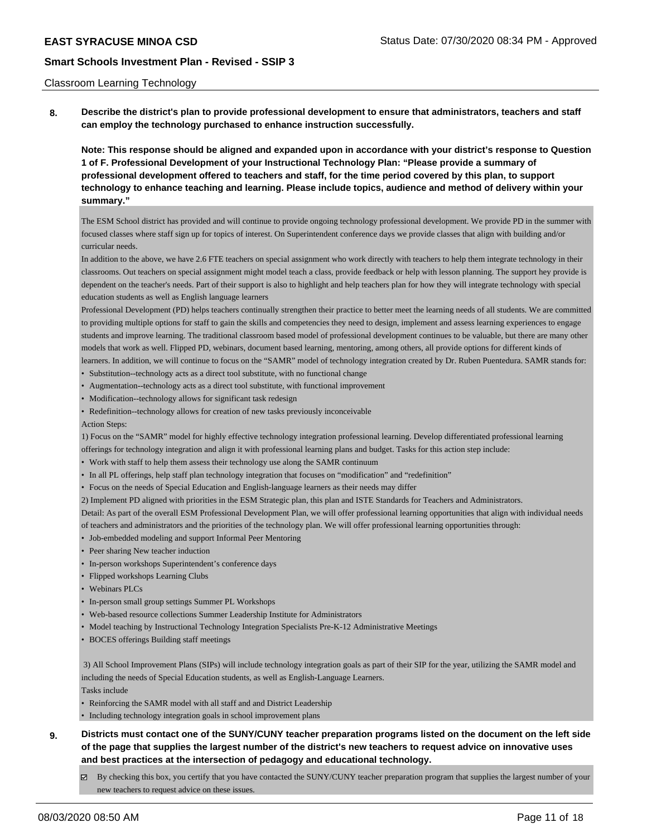#### Classroom Learning Technology

**8. Describe the district's plan to provide professional development to ensure that administrators, teachers and staff can employ the technology purchased to enhance instruction successfully.**

**Note: This response should be aligned and expanded upon in accordance with your district's response to Question 1 of F. Professional Development of your Instructional Technology Plan: "Please provide a summary of professional development offered to teachers and staff, for the time period covered by this plan, to support technology to enhance teaching and learning. Please include topics, audience and method of delivery within your summary."**

The ESM School district has provided and will continue to provide ongoing technology professional development. We provide PD in the summer with focused classes where staff sign up for topics of interest. On Superintendent conference days we provide classes that align with building and/or curricular needs.

In addition to the above, we have 2.6 FTE teachers on special assignment who work directly with teachers to help them integrate technology in their classrooms. Out teachers on special assignment might model teach a class, provide feedback or help with lesson planning. The support hey provide is dependent on the teacher's needs. Part of their support is also to highlight and help teachers plan for how they will integrate technology with special education students as well as English language learners

Professional Development (PD) helps teachers continually strengthen their practice to better meet the learning needs of all students. We are committed to providing multiple options for staff to gain the skills and competencies they need to design, implement and assess learning experiences to engage students and improve learning. The traditional classroom based model of professional development continues to be valuable, but there are many other models that work as well. Flipped PD, webinars, document based learning, mentoring, among others, all provide options for different kinds of learners. In addition, we will continue to focus on the "SAMR" model of technology integration created by Dr. Ruben Puentedura. SAMR stands for:

- Substitution--technology acts as a direct tool substitute, with no functional change
- Augmentation--technology acts as a direct tool substitute, with functional improvement
- Modification--technology allows for significant task redesign
- Redefinition--technology allows for creation of new tasks previously inconceivable

Action Steps:

1) Focus on the "SAMR" model for highly effective technology integration professional learning. Develop differentiated professional learning offerings for technology integration and align it with professional learning plans and budget. Tasks for this action step include:

- Work with staff to help them assess their technology use along the SAMR continuum
- In all PL offerings, help staff plan technology integration that focuses on "modification" and "redefinition"
- Focus on the needs of Special Education and English-language learners as their needs may differ
- 2) Implement PD aligned with priorities in the ESM Strategic plan, this plan and ISTE Standards for Teachers and Administrators.

Detail: As part of the overall ESM Professional Development Plan, we will offer professional learning opportunities that align with individual needs of teachers and administrators and the priorities of the technology plan. We will offer professional learning opportunities through:

- Job-embedded modeling and support Informal Peer Mentoring
- Peer sharing New teacher induction
- In-person workshops Superintendent's conference days
- Flipped workshops Learning Clubs
- Webinars PLCs
- In-person small group settings Summer PL Workshops
- Web-based resource collections Summer Leadership Institute for Administrators
- Model teaching by Instructional Technology Integration Specialists Pre-K-12 Administrative Meetings
- BOCES offerings Building staff meetings

 3) All School Improvement Plans (SIPs) will include technology integration goals as part of their SIP for the year, utilizing the SAMR model and including the needs of Special Education students, as well as English-Language Learners.

Tasks include

• Reinforcing the SAMR model with all staff and and District Leadership

• Including technology integration goals in school improvement plans

- **9. Districts must contact one of the SUNY/CUNY teacher preparation programs listed on the document on the left side of the page that supplies the largest number of the district's new teachers to request advice on innovative uses and best practices at the intersection of pedagogy and educational technology.**
	- By checking this box, you certify that you have contacted the SUNY/CUNY teacher preparation program that supplies the largest number of your new teachers to request advice on these issues.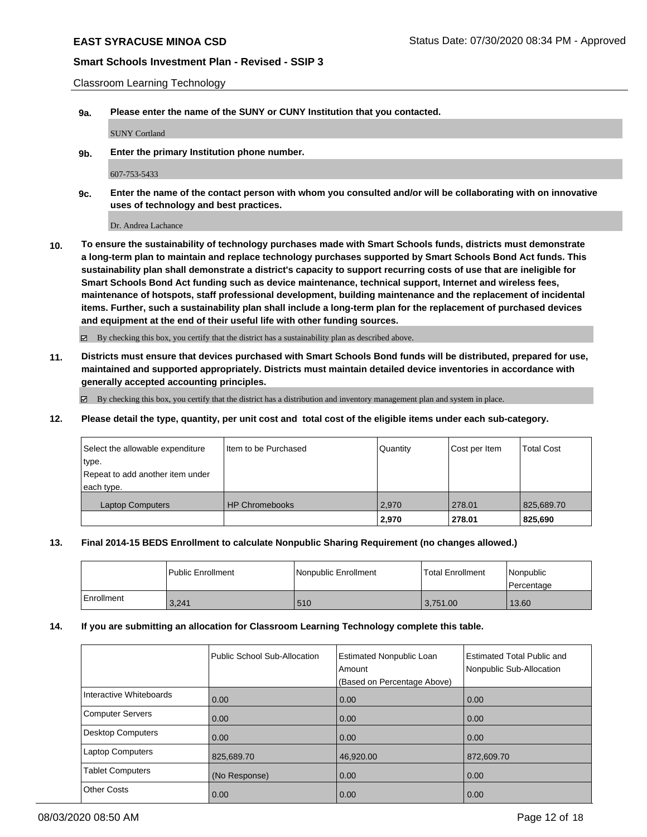Classroom Learning Technology

**9a. Please enter the name of the SUNY or CUNY Institution that you contacted.**

SUNY Cortland

**9b. Enter the primary Institution phone number.**

607-753-5433

**9c. Enter the name of the contact person with whom you consulted and/or will be collaborating with on innovative uses of technology and best practices.**

Dr. Andrea Lachance

**10. To ensure the sustainability of technology purchases made with Smart Schools funds, districts must demonstrate a long-term plan to maintain and replace technology purchases supported by Smart Schools Bond Act funds. This sustainability plan shall demonstrate a district's capacity to support recurring costs of use that are ineligible for Smart Schools Bond Act funding such as device maintenance, technical support, Internet and wireless fees, maintenance of hotspots, staff professional development, building maintenance and the replacement of incidental items. Further, such a sustainability plan shall include a long-term plan for the replacement of purchased devices and equipment at the end of their useful life with other funding sources.**

By checking this box, you certify that the district has a sustainability plan as described above.

**11. Districts must ensure that devices purchased with Smart Schools Bond funds will be distributed, prepared for use, maintained and supported appropriately. Districts must maintain detailed device inventories in accordance with generally accepted accounting principles.**

 $\boxtimes$  By checking this box, you certify that the district has a distribution and inventory management plan and system in place.

**12. Please detail the type, quantity, per unit cost and total cost of the eligible items under each sub-category.**

| Select the allowable expenditure<br>type.<br>Repeat to add another item under<br>each type. | Iltem to be Purchased | Quantity | Cost per Item | <b>Total Cost</b> |
|---------------------------------------------------------------------------------------------|-----------------------|----------|---------------|-------------------|
| <b>Laptop Computers</b>                                                                     | <b>HP Chromebooks</b> | 2.970    | 278.01        | 825,689.70        |
|                                                                                             |                       | 2,970    | 278.01        | 825,690           |

#### **13. Final 2014-15 BEDS Enrollment to calculate Nonpublic Sharing Requirement (no changes allowed.)**

|            | l Public Enrollment | Nonpublic Enrollment | <b>Total Enrollment</b> | Nonpublic<br>l Percentage |
|------------|---------------------|----------------------|-------------------------|---------------------------|
| Enrollment | 3,241               | 510                  | 3,751.00                | 13.60                     |

#### **14. If you are submitting an allocation for Classroom Learning Technology complete this table.**

|                         | Public School Sub-Allocation | <b>Estimated Nonpublic Loan</b><br>Amount<br>(Based on Percentage Above) | Estimated Total Public and<br>Nonpublic Sub-Allocation |
|-------------------------|------------------------------|--------------------------------------------------------------------------|--------------------------------------------------------|
| Interactive Whiteboards | 0.00                         | 0.00                                                                     | 0.00                                                   |
| Computer Servers        | 0.00                         | 0.00                                                                     | 0.00                                                   |
| Desktop Computers       | 0.00                         | 0.00                                                                     | 0.00                                                   |
| <b>Laptop Computers</b> | 825,689.70                   | 46,920.00                                                                | 872,609.70                                             |
| <b>Tablet Computers</b> | (No Response)                | 0.00                                                                     | 0.00                                                   |
| <b>Other Costs</b>      | 0.00                         | 0.00                                                                     | 0.00                                                   |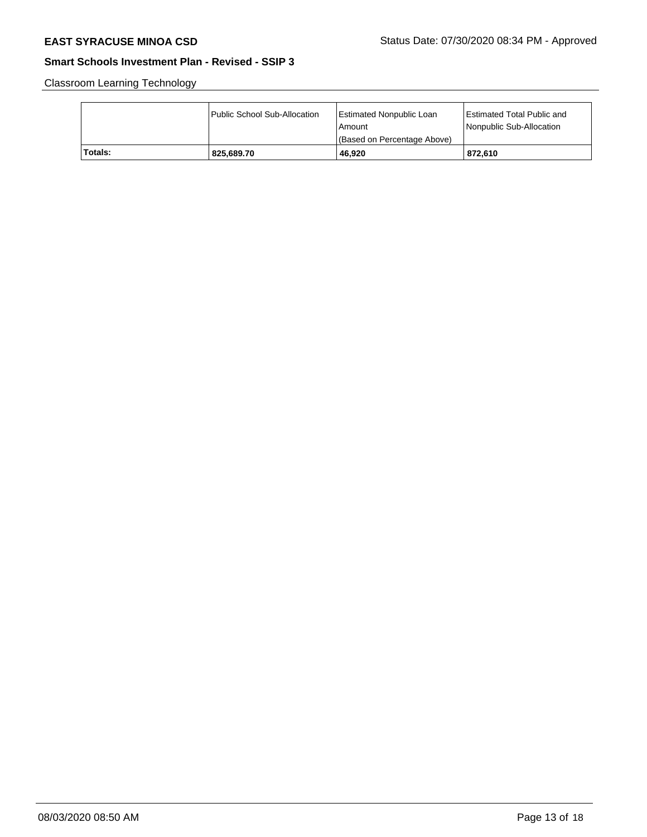Classroom Learning Technology

|         | Public School Sub-Allocation | <b>Estimated Nonpublic Loan</b><br>l Amount<br>(Based on Percentage Above) | Estimated Total Public and<br>Nonpublic Sub-Allocation |
|---------|------------------------------|----------------------------------------------------------------------------|--------------------------------------------------------|
| Totals: | 825.689.70                   | 46.920                                                                     | 872.610                                                |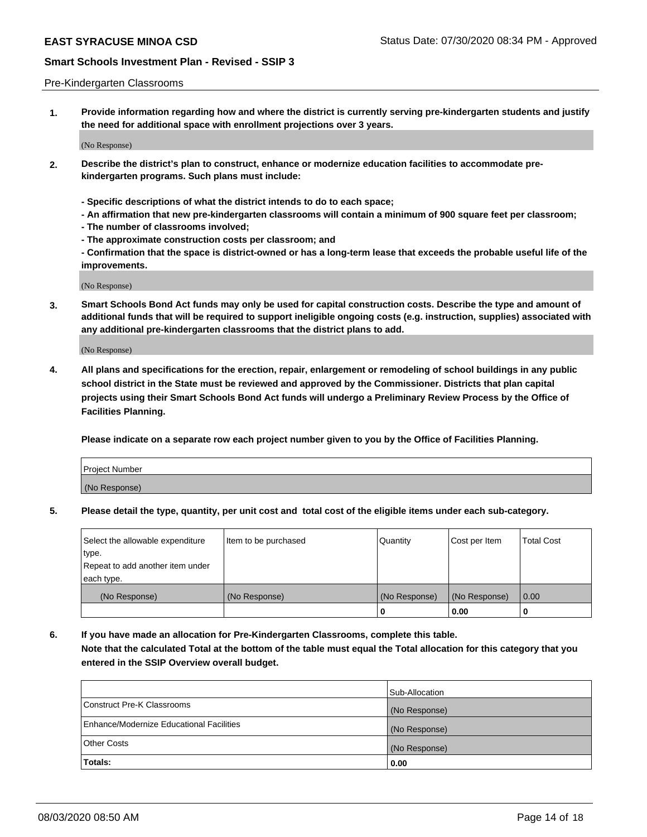### Pre-Kindergarten Classrooms

**1. Provide information regarding how and where the district is currently serving pre-kindergarten students and justify the need for additional space with enrollment projections over 3 years.**

(No Response)

- **2. Describe the district's plan to construct, enhance or modernize education facilities to accommodate prekindergarten programs. Such plans must include:**
	- **Specific descriptions of what the district intends to do to each space;**
	- **An affirmation that new pre-kindergarten classrooms will contain a minimum of 900 square feet per classroom;**
	- **The number of classrooms involved;**
	- **The approximate construction costs per classroom; and**
	- **Confirmation that the space is district-owned or has a long-term lease that exceeds the probable useful life of the improvements.**

(No Response)

**3. Smart Schools Bond Act funds may only be used for capital construction costs. Describe the type and amount of additional funds that will be required to support ineligible ongoing costs (e.g. instruction, supplies) associated with any additional pre-kindergarten classrooms that the district plans to add.**

(No Response)

**4. All plans and specifications for the erection, repair, enlargement or remodeling of school buildings in any public school district in the State must be reviewed and approved by the Commissioner. Districts that plan capital projects using their Smart Schools Bond Act funds will undergo a Preliminary Review Process by the Office of Facilities Planning.**

**Please indicate on a separate row each project number given to you by the Office of Facilities Planning.**

| Project Number |  |
|----------------|--|
| (No Response)  |  |
|                |  |

**5. Please detail the type, quantity, per unit cost and total cost of the eligible items under each sub-category.**

| Select the allowable expenditure | Item to be purchased | Quantity      | Cost per Item | <b>Total Cost</b> |
|----------------------------------|----------------------|---------------|---------------|-------------------|
| type.                            |                      |               |               |                   |
| Repeat to add another item under |                      |               |               |                   |
| each type.                       |                      |               |               |                   |
| (No Response)                    | (No Response)        | (No Response) | (No Response) | 0.00              |
|                                  |                      | U             | 0.00          |                   |

**6. If you have made an allocation for Pre-Kindergarten Classrooms, complete this table. Note that the calculated Total at the bottom of the table must equal the Total allocation for this category that you entered in the SSIP Overview overall budget.**

|                                          | Sub-Allocation |
|------------------------------------------|----------------|
| Construct Pre-K Classrooms               | (No Response)  |
| Enhance/Modernize Educational Facilities | (No Response)  |
| <b>Other Costs</b>                       | (No Response)  |
| <b>Totals:</b>                           | 0.00           |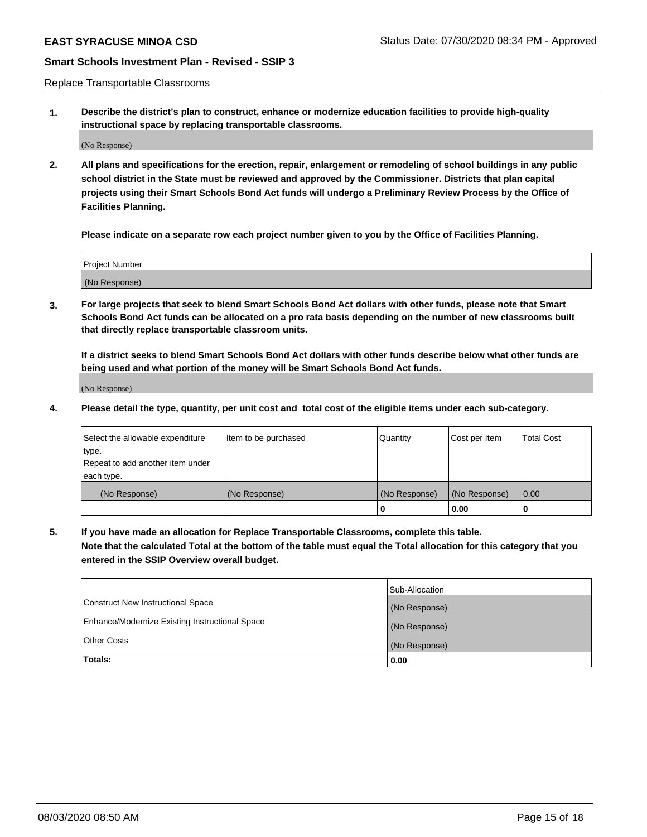Replace Transportable Classrooms

**1. Describe the district's plan to construct, enhance or modernize education facilities to provide high-quality instructional space by replacing transportable classrooms.**

(No Response)

**2. All plans and specifications for the erection, repair, enlargement or remodeling of school buildings in any public school district in the State must be reviewed and approved by the Commissioner. Districts that plan capital projects using their Smart Schools Bond Act funds will undergo a Preliminary Review Process by the Office of Facilities Planning.**

**Please indicate on a separate row each project number given to you by the Office of Facilities Planning.**

| Project Number |  |
|----------------|--|
|                |  |
|                |  |
|                |  |
| (No Response)  |  |
|                |  |
|                |  |

**3. For large projects that seek to blend Smart Schools Bond Act dollars with other funds, please note that Smart Schools Bond Act funds can be allocated on a pro rata basis depending on the number of new classrooms built that directly replace transportable classroom units.**

**If a district seeks to blend Smart Schools Bond Act dollars with other funds describe below what other funds are being used and what portion of the money will be Smart Schools Bond Act funds.**

(No Response)

**4. Please detail the type, quantity, per unit cost and total cost of the eligible items under each sub-category.**

| Select the allowable expenditure           | Item to be purchased | Quantity      | Cost per Item | <b>Total Cost</b> |
|--------------------------------------------|----------------------|---------------|---------------|-------------------|
| ∣type.<br>Repeat to add another item under |                      |               |               |                   |
| each type.                                 |                      |               |               |                   |
| (No Response)                              | (No Response)        | (No Response) | (No Response) | 0.00              |
|                                            |                      | 0             | 0.00          |                   |

**5. If you have made an allocation for Replace Transportable Classrooms, complete this table. Note that the calculated Total at the bottom of the table must equal the Total allocation for this category that you entered in the SSIP Overview overall budget.**

|                                                | Sub-Allocation |
|------------------------------------------------|----------------|
| Construct New Instructional Space              | (No Response)  |
| Enhance/Modernize Existing Instructional Space | (No Response)  |
| Other Costs                                    | (No Response)  |
| Totals:                                        | 0.00           |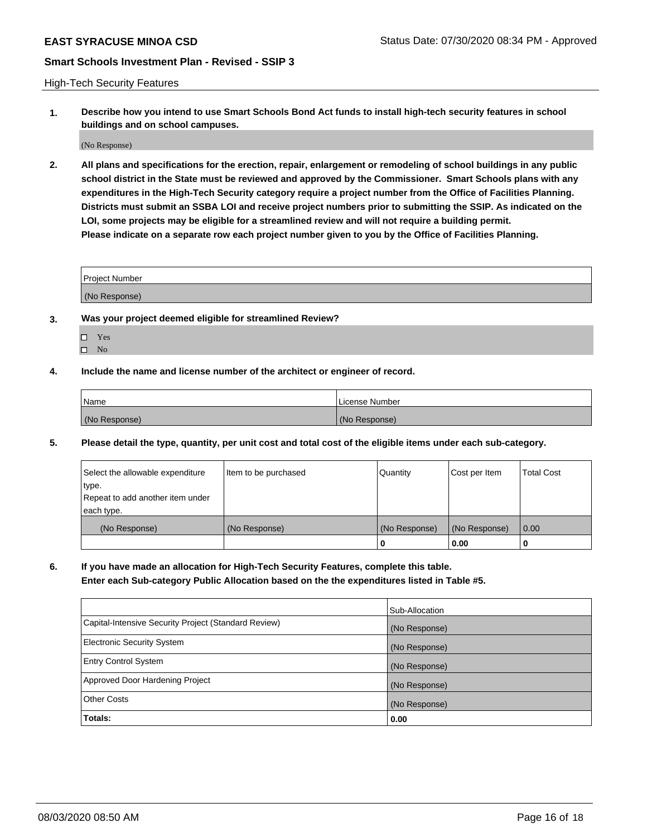High-Tech Security Features

**1. Describe how you intend to use Smart Schools Bond Act funds to install high-tech security features in school buildings and on school campuses.**

(No Response)

**2. All plans and specifications for the erection, repair, enlargement or remodeling of school buildings in any public school district in the State must be reviewed and approved by the Commissioner. Smart Schools plans with any expenditures in the High-Tech Security category require a project number from the Office of Facilities Planning. Districts must submit an SSBA LOI and receive project numbers prior to submitting the SSIP. As indicated on the LOI, some projects may be eligible for a streamlined review and will not require a building permit. Please indicate on a separate row each project number given to you by the Office of Facilities Planning.**

| <b>Project Number</b> |  |
|-----------------------|--|
|                       |  |
| (No Response)         |  |

- **3. Was your project deemed eligible for streamlined Review?**
	- Yes
	- $\hfill \square$  No
- **4. Include the name and license number of the architect or engineer of record.**

| <b>Name</b>   | License Number |
|---------------|----------------|
| (No Response) | (No Response)  |

**5. Please detail the type, quantity, per unit cost and total cost of the eligible items under each sub-category.**

| Select the allowable expenditure | Item to be purchased | Quantity      | Cost per Item | <b>Total Cost</b> |
|----------------------------------|----------------------|---------------|---------------|-------------------|
| 'type.                           |                      |               |               |                   |
| Repeat to add another item under |                      |               |               |                   |
| each type.                       |                      |               |               |                   |
| (No Response)                    | (No Response)        | (No Response) | (No Response) | 0.00              |
|                                  |                      | U             | 0.00          |                   |

**6. If you have made an allocation for High-Tech Security Features, complete this table.**

**Enter each Sub-category Public Allocation based on the the expenditures listed in Table #5.**

|                                                      | Sub-Allocation |
|------------------------------------------------------|----------------|
| Capital-Intensive Security Project (Standard Review) | (No Response)  |
| <b>Electronic Security System</b>                    | (No Response)  |
| <b>Entry Control System</b>                          | (No Response)  |
| Approved Door Hardening Project                      | (No Response)  |
| <b>Other Costs</b>                                   | (No Response)  |
| Totals:                                              | 0.00           |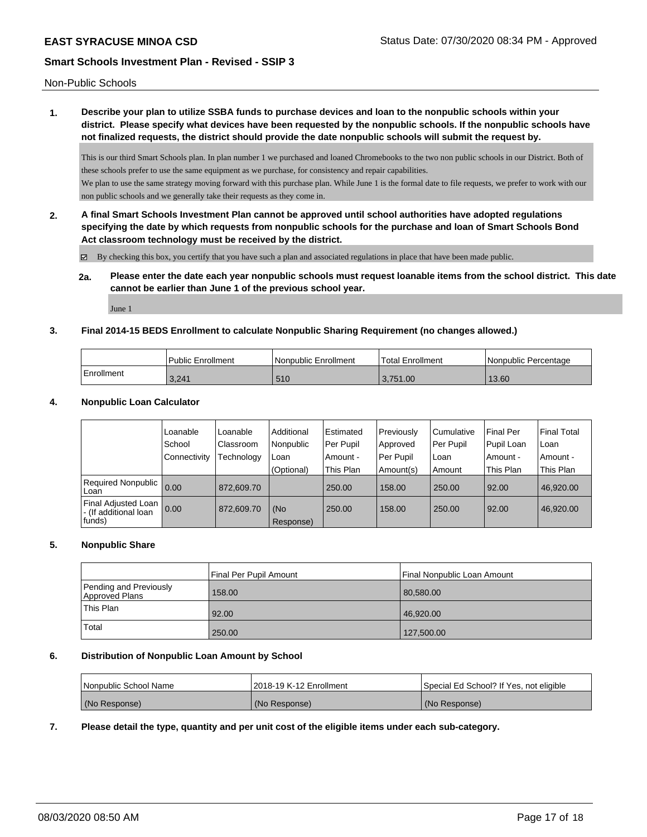Non-Public Schools

# **1. Describe your plan to utilize SSBA funds to purchase devices and loan to the nonpublic schools within your district. Please specify what devices have been requested by the nonpublic schools. If the nonpublic schools have not finalized requests, the district should provide the date nonpublic schools will submit the request by.**

This is our third Smart Schools plan. In plan number 1 we purchased and loaned Chromebooks to the two non public schools in our District. Both of these schools prefer to use the same equipment as we purchase, for consistency and repair capabilities. We plan to use the same strategy moving forward with this purchase plan. While June 1 is the formal date to file requests, we prefer to work with our

non public schools and we generally take their requests as they come in. **2. A final Smart Schools Investment Plan cannot be approved until school authorities have adopted regulations specifying the date by which requests from nonpublic schools for the purchase and loan of Smart Schools Bond**

**Act classroom technology must be received by the district.**

By checking this box, you certify that you have such a plan and associated regulations in place that have been made public.

# **2a. Please enter the date each year nonpublic schools must request loanable items from the school district. This date cannot be earlier than June 1 of the previous school year.**

June 1

# **3. Final 2014-15 BEDS Enrollment to calculate Nonpublic Sharing Requirement (no changes allowed.)**

|            | <b>Public Enrollment</b> | Nonpublic Enrollment | Total Enrollment | Nonpublic Percentage |
|------------|--------------------------|----------------------|------------------|----------------------|
| Enrollment | 3,241                    | 510                  | 3.751.00         | 13.60                |

# **4. Nonpublic Loan Calculator**

|                                              | Loanable     | Loanable   | Additional | Estimated | Previously | Cumulative | <b>Final Per</b> | <b>Final Total</b> |
|----------------------------------------------|--------------|------------|------------|-----------|------------|------------|------------------|--------------------|
|                                              |              |            |            |           |            |            |                  |                    |
|                                              | School       | Classroom  | Nonpublic  | Per Pupil | Approved   | Per Pupil  | Pupil Loan       | l Loan             |
|                                              | Connectivity | Technology | Loan       | Amount -  | Per Pupil  | ∣Loan      | . Amount -       | l Amount -         |
|                                              |              |            | (Optional) | This Plan | Amount(s)  | Amount     | This Plan        | <b>This Plan</b>   |
| Required Nonpublic<br>Loan                   | 0.00         | 872.609.70 |            | 250.00    | 158.00     | 250.00     | 92.00            | 46.920.00          |
| Final Adjusted Loan<br>- (If additional loan | 0.00         | 872.609.70 | (No        | 250.00    | 158.00     | 250.00     | 92.00            | 46,920.00          |
| funds)                                       |              |            | Response)  |           |            |            |                  |                    |

# **5. Nonpublic Share**

|                                          | Final Per Pupil Amount | Final Nonpublic Loan Amount |
|------------------------------------------|------------------------|-----------------------------|
| Pending and Previously<br>Approved Plans | 158.00                 | 80,580.00                   |
| This Plan                                | 92.00                  | 46.920.00                   |
| Total                                    | 250.00                 | 127,500.00                  |

#### **6. Distribution of Nonpublic Loan Amount by School**

| <b>Nonpublic School Name</b> | 2018-19 K-12 Enrollment | Special Ed School? If Yes, not eligible |
|------------------------------|-------------------------|-----------------------------------------|
| (No Response)                | (No Response)           | (No Response)                           |

# **7. Please detail the type, quantity and per unit cost of the eligible items under each sub-category.**